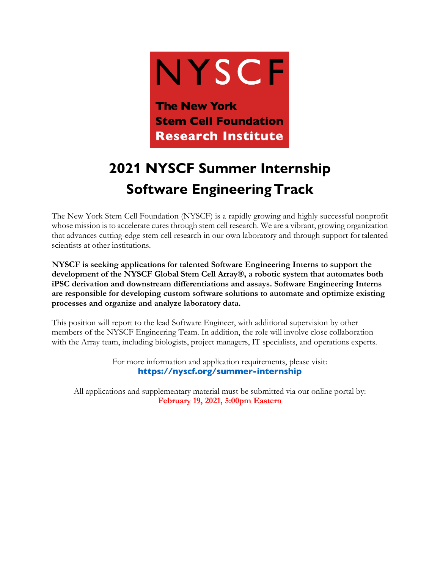

## **2021 NYSCF Summer Internship Software EngineeringTrack**

The New York Stem Cell Foundation (NYSCF) is a rapidly growing and highly successful nonprofit whose mission is to accelerate cures through stem cell research. We are a vibrant, growing organization that advances cutting-edge stem cell research in our own laboratory and through support fortalented scientists at other institutions.

**NYSCF is seeking applications for talented Software Engineering Interns to support the development of the NYSCF Global Stem Cell Array®, a robotic system that automates both iPSC derivation and downstream differentiations and assays. Software Engineering Interns are responsible for developing custom software solutions to automate and optimize existing processes and organize and analyze laboratory data.**

This position will report to the lead Software Engineer, with additional supervision by other members of the NYSCF Engineering Team. In addition, the role will involve close collaboration with the Array team, including biologists, project managers, IT specialists, and operations experts.

> For more information and application requirements, please visit: **https://nyscf.org/summer-internship**

All applications and supplementary material must be submitted via our online portal by: **February 19, 2021, 5:00pm Eastern**